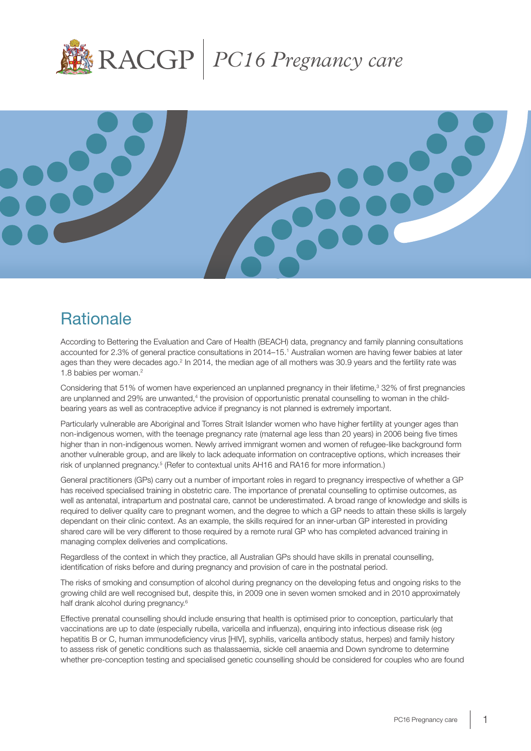



# **Rationale**

According to Bettering the Evaluation and Care of Health (BEACH) data, pregnancy and family planning consultations accounted for 2.3% of general practice consultations in 2014–15.1 Australian women are having fewer babies at later ages than they were decades ago.<sup>2</sup> In 2014, the median age of all mothers was 30.9 years and the fertility rate was 1.8 babies per woman.2

Considering that 51% of women have experienced an unplanned pregnancy in their lifetime,<sup>3</sup> 32% of first pregnancies are unplanned and 29% are unwanted,<sup>4</sup> the provision of opportunistic prenatal counselling to woman in the childbearing years as well as contraceptive advice if pregnancy is not planned is extremely important.

Particularly vulnerable are Aboriginal and Torres Strait Islander women who have higher fertility at younger ages than non-indigenous women, with the teenage pregnancy rate (maternal age less than 20 years) in 2006 being five times higher than in non-indigenous women. Newly arrived immigrant women and women of refugee-like background form another vulnerable group, and are likely to lack adequate information on contraceptive options, which increases their risk of unplanned pregnancy.<sup>5</sup> (Refer to contextual units AH16 and RA16 for more information.)

General practitioners (GPs) carry out a number of important roles in regard to pregnancy irrespective of whether a GP has received specialised training in obstetric care. The importance of prenatal counselling to optimise outcomes, as well as antenatal, intrapartum and postnatal care, cannot be underestimated. A broad range of knowledge and skills is required to deliver quality care to pregnant women, and the degree to which a GP needs to attain these skills is largely dependant on their clinic context. As an example, the skills required for an inner-urban GP interested in providing shared care will be very different to those required by a remote rural GP who has completed advanced training in managing complex deliveries and complications.

Regardless of the context in which they practice, all Australian GPs should have skills in prenatal counselling, identification of risks before and during pregnancy and provision of care in the postnatal period.

The risks of smoking and consumption of alcohol during pregnancy on the developing fetus and ongoing risks to the growing child are well recognised but, despite this, in 2009 one in seven women smoked and in 2010 approximately half drank alcohol during pregnancy.<sup>6</sup>

Effective prenatal counselling should include ensuring that health is optimised prior to conception, particularly that vaccinations are up to date (especially rubella, varicella and influenza), enquiring into infectious disease risk (eg hepatitis B or C, human immunodeficiency virus [HIV], syphilis, varicella antibody status, herpes) and family history to assess risk of genetic conditions such as thalassaemia, sickle cell anaemia and Down syndrome to determine whether pre-conception testing and specialised genetic counselling should be considered for couples who are found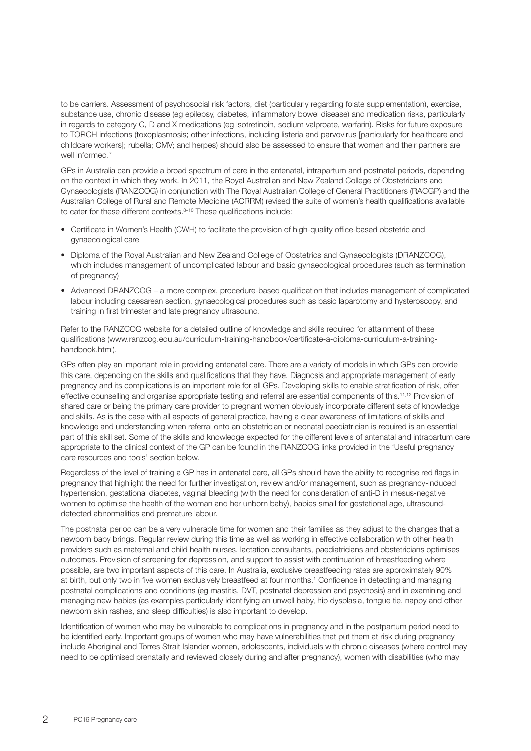to be carriers. Assessment of psychosocial risk factors, diet (particularly regarding folate supplementation), exercise, substance use, chronic disease (eg epilepsy, diabetes, inflammatory bowel disease) and medication risks, particularly in regards to category C, D and X medications (eg isotretinoin, sodium valproate, warfarin). Risks for future exposure to TORCH infections (toxoplasmosis; other infections, including listeria and parvovirus [particularly for healthcare and childcare workers]; rubella; CMV; and herpes) should also be assessed to ensure that women and their partners are well informed.<sup>7</sup>

GPs in Australia can provide a broad spectrum of care in the antenatal, intrapartum and postnatal periods, depending on the context in which they work. In 2011, the Royal Australian and New Zealand College of Obstetricians and Gynaecologists (RANZCOG) in conjunction with The Royal Australian College of General Practitioners (RACGP) and the Australian College of Rural and Remote Medicine (ACRRM) revised the suite of women's health qualifications available to cater for these different contexts. $8-10$  These qualifications include:

- Certificate in Women's Health (CWH) to facilitate the provision of high-quality office-based obstetric and gynaecological care
- Diploma of the Royal Australian and New Zealand College of Obstetrics and Gynaecologists (DRANZCOG), which includes management of uncomplicated labour and basic gynaecological procedures (such as termination of pregnancy)
- Advanced DRANZCOG a more complex, procedure-based qualification that includes management of complicated labour including caesarean section, gynaecological procedures such as basic laparotomy and hysteroscopy, and training in first trimester and late pregnancy ultrasound.

Refer to the RANZCOG website for a detailed outline of knowledge and skills required for attainment of these qualifications (www.ranzcog.edu.au/curriculum-training-handbook/certificate-a-diploma-curriculum-a-traininghandbook.html).

GPs often play an important role in providing antenatal care. There are a variety of models in which GPs can provide this care, depending on the skills and qualifications that they have. Diagnosis and appropriate management of early pregnancy and its complications is an important role for all GPs. Developing skills to enable stratification of risk, offer effective counselling and organise appropriate testing and referral are essential components of this.<sup>11,12</sup> Provision of shared care or being the primary care provider to pregnant women obviously incorporate different sets of knowledge and skills. As is the case with all aspects of general practice, having a clear awareness of limitations of skills and knowledge and understanding when referral onto an obstetrician or neonatal paediatrician is required is an essential part of this skill set. Some of the skills and knowledge expected for the different levels of antenatal and intrapartum care appropriate to the clinical context of the GP can be found in the RANZCOG links provided in the 'Useful pregnancy care resources and tools' section below.

Regardless of the level of training a GP has in antenatal care, all GPs should have the ability to recognise red flags in pregnancy that highlight the need for further investigation, review and/or management, such as pregnancy-induced hypertension, gestational diabetes, vaginal bleeding (with the need for consideration of anti-D in rhesus-negative women to optimise the health of the woman and her unborn baby), babies small for gestational age, ultrasounddetected abnormalities and premature labour.

The postnatal period can be a very vulnerable time for women and their families as they adjust to the changes that a newborn baby brings. Regular review during this time as well as working in effective collaboration with other health providers such as maternal and child health nurses, lactation consultants, paediatricians and obstetricians optimises outcomes. Provision of screening for depression, and support to assist with continuation of breastfeeding where possible, are two important aspects of this care. In Australia, exclusive breastfeeding rates are approximately 90% at birth, but only two in five women exclusively breastfeed at four months.<sup>1</sup> Confidence in detecting and managing postnatal complications and conditions (eg mastitis, DVT, postnatal depression and psychosis) and in examining and managing new babies (as examples particularly identifying an unwell baby, hip dysplasia, tongue tie, nappy and other newborn skin rashes, and sleep difficulties) is also important to develop.

Identification of women who may be vulnerable to complications in pregnancy and in the postpartum period need to be identified early. Important groups of women who may have vulnerabilities that put them at risk during pregnancy include Aboriginal and Torres Strait Islander women, adolescents, individuals with chronic diseases (where control may need to be optimised prenatally and reviewed closely during and after pregnancy), women with disabilities (who may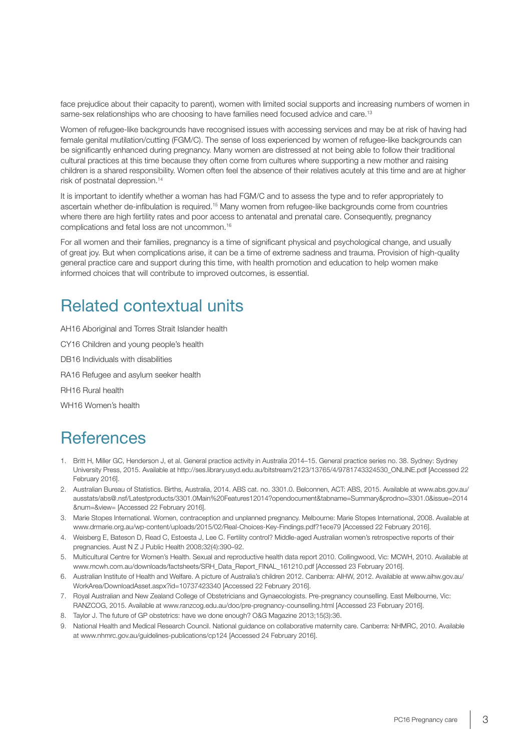face prejudice about their capacity to parent), women with limited social supports and increasing numbers of women in same-sex relationships who are choosing to have families need focused advice and care.<sup>13</sup>

Women of refugee-like backgrounds have recognised issues with accessing services and may be at risk of having had female genital mutilation/cutting (FGM/C). The sense of loss experienced by women of refugee-like backgrounds can be significantly enhanced during pregnancy. Many women are distressed at not being able to follow their traditional cultural practices at this time because they often come from cultures where supporting a new mother and raising children is a shared responsibility. Women often feel the absence of their relatives acutely at this time and are at higher risk of postnatal depression.14

It is important to identify whether a woman has had FGM/C and to assess the type and to refer appropriately to ascertain whether de-infibulation is required.15 Many women from refugee-like backgrounds come from countries where there are high fertility rates and poor access to antenatal and prenatal care. Consequently, pregnancy complications and fetal loss are not uncommon.16

For all women and their families, pregnancy is a time of significant physical and psychological change, and usually of great joy. But when complications arise, it can be a time of extreme sadness and trauma. Provision of high-quality general practice care and support during this time, with health promotion and education to help women make informed choices that will contribute to improved outcomes, is essential.

## Related contextual units

AH16 Aboriginal and Torres Strait Islander health

CY16 Children and young people's health

DB16 Individuals with disabilities

RA16 Refugee and asylum seeker health

RH16 Rural health

WH16 Women's health

## **References**

- 1. Britt H, Miller GC, Henderson J, et al. General practice activity in Australia 2014–15. General practice series no. 38. Sydney: Sydney University Press, 2015. Available at http://ses.library.usyd.edu.au/bitstream/2123/13765/4/9781743324530\_ONLINE.pdf [Accessed 22 February 2016].
- 2. Australian Bureau of Statistics. Births, Australia, 2014. ABS cat. no. 3301.0. Belconnen, ACT: ABS, 2015. Available at www.abs.gov.au/ ausstats/abs@.nsf/Latestproducts/3301.0Main%20Features12014?opendocument&tabname=Summary&prodno=3301.0&issue=2014 &num=&view= [Accessed 22 February 2016].
- 3. Marie Stopes International. Women, contraception and unplanned pregnancy. Melbourne: Marie Stopes International, 2008. Available at www.drmarie.org.au/wp-content/uploads/2015/02/Real-Choices-Key-Findings.pdf?1ece79 [Accessed 22 February 2016].
- 4. Weisberg E, Bateson D, Read C, Estoesta J, Lee C. Fertility control? Middle-aged Australian women's retrospective reports of their pregnancies. Aust N Z J Public Health 2008;32(4):390–92.
- 5. Multicultural Centre for Women's Health. Sexual and reproductive health data report 2010. Collingwood, Vic: MCWH, 2010. Available at www.mcwh.com.au/downloads/factsheets/SRH\_Data\_Report\_FINAL\_161210.pdf [Accessed 23 February 2016].
- 6. Australian Institute of Health and Welfare. A picture of Australia's children 2012. Canberra: AIHW, 2012. Available at www.aihw.gov.au/ WorkArea/DownloadAsset.aspx?id=10737423340 [Accessed 22 February 2016].
- 7. Royal Australian and New Zealand College of Obstetricians and Gynaecologists. Pre-pregnancy counselling. East Melbourne, Vic: RANZCOG, 2015. Available at www.ranzcog.edu.au/doc/pre-pregnancy-counselling.html [Accessed 23 February 2016].
- 8. Taylor J. The future of GP obstetrics: have we done enough? O&G Magazine 2013;15(3):36.
- 9. National Health and Medical Research Council. National guidance on collaborative maternity care. Canberra: NHMRC, 2010. Available at www.nhmrc.gov.au/guidelines-publications/cp124 [Accessed 24 February 2016].